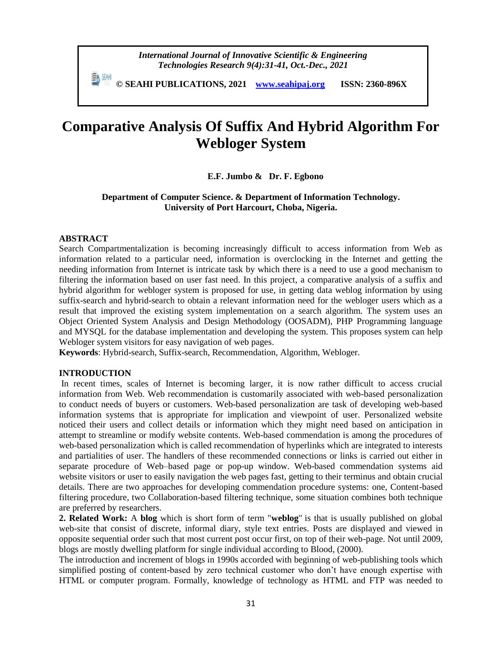**© SEAHI PUBLICATIONS, 2021 [www.seahipaj.org](http://www.seahipaj.org/) ISSN: 2360-896X**

# **Comparative Analysis Of Suffix And Hybrid Algorithm For Webloger System**

# **E.F. Jumbo & Dr. F. Egbono**

# **Department of Computer Science. & Department of Information Technology. University of Port Harcourt, Choba, Nigeria.**

#### **ABSTRACT**

Search Compartmentalization is becoming increasingly difficult to access information from Web as information related to a particular need, information is overclocking in the Internet and getting the needing information from Internet is intricate task by which there is a need to use a good mechanism to filtering the information based on user fast need. In this project, a comparative analysis of a suffix and hybrid algorithm for webloger system is proposed for use, in getting data weblog information by using suffix-search and hybrid-search to obtain a relevant information need for the webloger users which as a result that improved the existing system implementation on a search algorithm. The system uses an Object Oriented System Analysis and Design Methodology (OOSADM), PHP Programming language and MYSQL for the database implementation and developing the system. This proposes system can help Webloger system visitors for easy navigation of web pages.

**Keywords**: Hybrid-search, Suffix-search, Recommendation, Algorithm, Webloger.

#### **INTRODUCTION**

In recent times, scales of Internet is becoming larger, it is now rather difficult to access crucial information from Web. Web recommendation is customarily associated with web-based personalization to conduct needs of buyers or customers. Web-based personalization are task of developing web-based information systems that is appropriate for implication and viewpoint of user. Personalized website noticed their users and collect details or information which they might need based on anticipation in attempt to streamline or modify website contents. Web-based commendation is among the procedures of web-based personalization which is called recommendation of hyperlinks which are integrated to interests and partialities of user. The handlers of these recommended connections or links is carried out either in separate procedure of Web–based page or pop-up window. Web-based commendation systems aid website visitors or user to easily navigation the web pages fast, getting to their terminus and obtain crucial details. There are two approaches for developing commendation procedure systems: one, Content-based filtering procedure, two Collaboration-based filtering technique, some situation combines both technique are preferred by researchers.

**2. Related Work:** A **blog** which is short form of term "**weblog**" is that is usually published on global web-site that consist of discrete, informal [diary,](https://en.wikipedia.org/wiki/Diary) style text entries. Posts are displayed and viewed in opposite sequential order such that most current post occur first, on top of their web-page. Not until 2009, blogs are mostly dwelling platform for single individual according to Blood, (2000).

The introduction and increment of blogs in 1990s accorded with beginning of web-publishing tools which simplified posting of content-based by zero technical customer who don't have enough expertise with [HTML](https://en.wikipedia.org/wiki/HTML) or [computer program.](https://en.wikipedia.org/wiki/Computer_programming) Formally, knowledge of technology as [HTML](https://en.wikipedia.org/wiki/HTML) and [FTP w](https://en.wikipedia.org/wiki/File_Transfer_Protocol)as needed to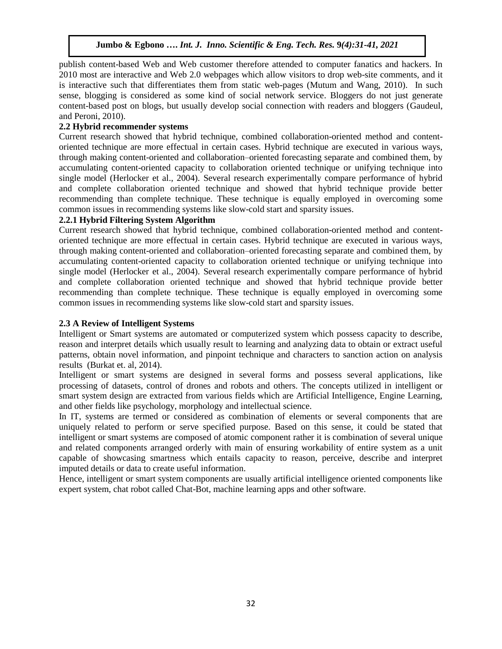publish content-based Web and Web customer therefore attended to computer fanatics and hackers. In 2010 most are interactive and [Web 2.0](https://en.wikipedia.org/wiki/Web_2.0) webpages which allow visitors to drop web-site comments, and it is interactive such that differentiates them from static web-pages (Mutum and Wang, 2010). In such sense, blogging is considered as some kind of [social network service.](https://en.wikipedia.org/wiki/Social_networking_service) Bloggers do not just generate content-based post on blogs, but usually develop social connection with readers and bloggers (Gaudeul, and Peroni, 2010).

# **2.2 Hybrid recommender systems**

Current research showed that hybrid technique, combined [collaboration-oriented method a](https://en.wikipedia.org/wiki/Collaborative_filtering)nd contentoriented technique are more effectual in certain cases. Hybrid technique are executed in various ways, through making content-oriented and collaboration–oriented forecasting separate and combined them, by accumulating content-oriented capacity to collaboration oriented technique or unifying technique into single model (Herlocker et al., 2004). Several research experimentally compare performance of hybrid and complete collaboration oriented technique and showed that hybrid technique provide better recommending than complete technique. These technique is equally employed in overcoming some common issues in recommending systems like slow-cold start and sparsity issues.

# **2.2.1 Hybrid Filtering System Algorithm**

Current research showed that hybrid technique, combined [collaboration-oriented method a](https://en.wikipedia.org/wiki/Collaborative_filtering)nd contentoriented technique are more effectual in certain cases. Hybrid technique are executed in various ways, through making content-oriented and collaboration–oriented forecasting separate and combined them, by accumulating content-oriented capacity to collaboration oriented technique or unifying technique into single model (Herlocker et al., 2004). Several research experimentally compare performance of hybrid and complete collaboration oriented technique and showed that hybrid technique provide better recommending than complete technique. These technique is equally employed in overcoming some common issues in recommending systems like slow-cold start and sparsity issues.

### **2.3 A Review of Intelligent Systems**

Intelligent or Smart systems are automated or computerized system which possess capacity to describe, reason and interpret details which usually result to learning and analyzing data to obtain or extract useful patterns, obtain novel information, and pinpoint technique and characters to sanction action on analysis results (Burkat et. al, 2014).

Intelligent or smart systems are designed in several forms and possess several applications, like processing of datasets, control of drones and robots and others. The concepts utilized in intelligent or smart system design are extracted from various fields which are Artificial Intelligence, Engine Learning, and other fields like psychology, morphology and intellectual science.

In IT, systems are termed or considered as combination of elements or several components that are uniquely related to perform or serve specified purpose. Based on this sense, it could be stated that intelligent or smart systems are composed of atomic component rather it is combination of several unique and related components arranged orderly with main of ensuring workability of entire system as a unit capable of showcasing smartness which entails capacity to reason, perceive, describe and interpret imputed details or data to create useful information.

Hence, intelligent or smart system components are usually artificial intelligence oriented components like expert system, chat robot called Chat-Bot, machine learning apps and other software.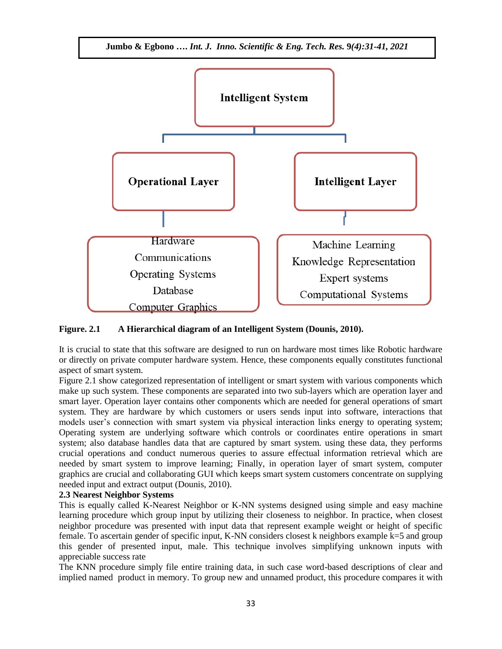

# **Figure. 2.1 A Hierarchical diagram of an Intelligent System (Dounis, 2010).**

It is crucial to state that this software are designed to run on hardware most times like Robotic hardware or directly on private computer hardware system. Hence, these components equally constitutes functional aspect of smart system.

Figure 2.1 show categorized representation of intelligent or smart system with various components which make up such system. These components are separated into two sub-layers which are operation layer and smart layer. Operation layer contains other components which are needed for general operations of smart system. They are hardware by which customers or users sends input into software, interactions that models user's connection with smart system via physical interaction links energy to operating system; Operating system are underlying software which controls or coordinates entire operations in smart system; also database handles data that are captured by smart system. using these data, they performs crucial operations and conduct numerous queries to assure effectual information retrieval which are needed by smart system to improve learning; Finally, in operation layer of smart system, computer graphics are crucial and collaborating GUI which keeps smart system customers concentrate on supplying needed input and extract output (Dounis, 2010).

#### **2.3 Nearest Neighbor Systems**

This is equally called K-Nearest Neighbor or K-NN systems designed using simple and easy machine learning procedure which group input by utilizing their closeness to neighbor. In practice, when closest neighbor procedure was presented with input data that represent example weight or height of specific female. To ascertain gender of specific input, K-NN considers closest k neighbors example k=5 and group this gender of presented input, male. This technique involves simplifying unknown inputs with appreciable success rate

The KNN procedure simply file entire training data, in such case word-based descriptions of clear and implied named product in memory. To group new and unnamed product, this procedure compares it with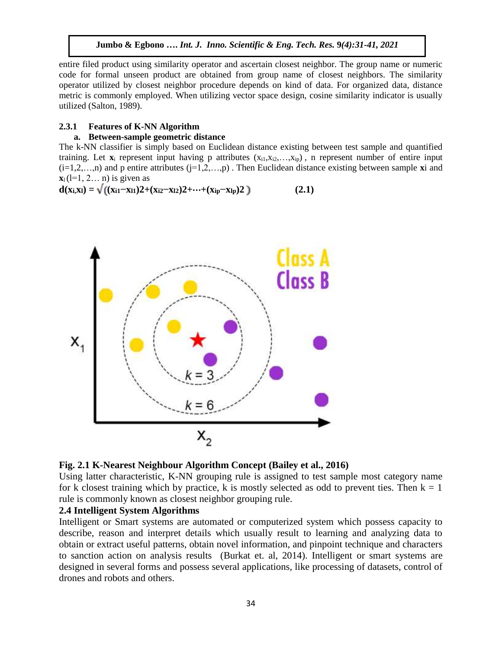**Jumbo & Egbono ….** *Int. J. Inno. Scientific & Eng. Tech. Res.* **9***(4):31-41, 2021*

entire filed product using similarity operator and ascertain closest neighbor. The group name or numeric code for formal unseen product are obtained from group name of closest neighbors. The similarity operator utilized by closest neighbor procedure depends on kind of data. For organized data, distance metric is commonly employed. When utilizing vector space design, cosine similarity indicator is usually utilized (Salton, 1989).

# **2.3.1 Features of K-NN Algorithm**

### **a. Between-sample geometric distance**

The k-NN classifier is simply based on Euclidean distance existing between test sample and quantified training. Let  $\mathbf{x}_i$  represent input having p attributes  $(x_{i1}, x_{i2},...,x_{ip})$ , n represent number of entire input  $(i=1,2,...,n)$  and p entire attributes  $(i=1,2,...,p)$ . Then Euclidean distance existing between sample **x**i and  $\mathbf{x}_1$  (l=1, 2... n) is given as

 $d(x_i,x_i) = \sqrt{((x_{i1} - x_{i1})2 + (x_{i2} - x_{i2})2 + \cdots + (x_{ip} - x_{lp})2)}$  (2.1)





Using latter characteristic, K-NN grouping rule is assigned to test sample most category name for k closest training which by practice, k is mostly selected as odd to prevent ties. Then  $k = 1$ rule is commonly known as closest neighbor grouping rule.

# **2.4 Intelligent System Algorithms**

Intelligent or Smart systems are automated or computerized system which possess capacity to describe, reason and interpret details which usually result to learning and analyzing data to obtain or extract useful patterns, obtain novel information, and pinpoint technique and characters to sanction action on analysis results (Burkat et. al, 2014). Intelligent or smart systems are designed in several forms and possess several applications, like processing of datasets, control of drones and robots and others.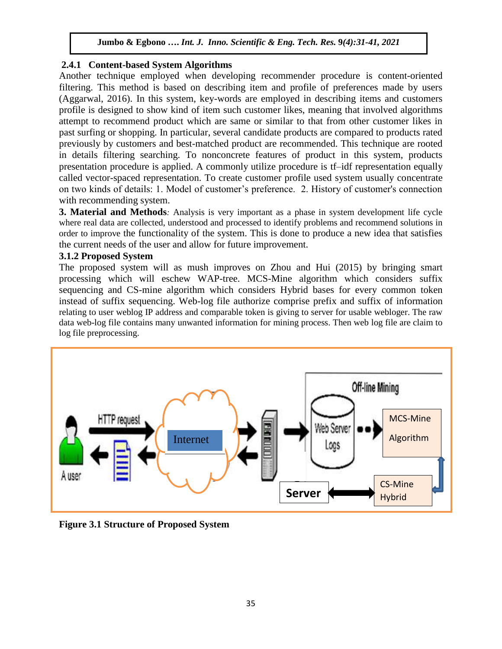# **2.4.1 Content-based System Algorithms**

Another technique employed when developing recommender procedure is content-oriented filtering. This method is based on describing item and profile of preferences made by users (Aggarwal, 2016). In this system, key-words are employed in describing items and customers profile is designed to show kind of item such customer likes, meaning that involved algorithms attempt to recommend product which are same or similar to that from other customer likes in past surfing or shopping. In particular, several candidate products are compared to products rated previously by customers and best-matched product are recommended. This technique are rooted in details [filtering](https://en.wikipedia.org/wiki/Information_filtering) searching. To nonconcrete features of product in this system, products presentation procedure is applied. A commonly utilize procedure is [tf–idf](https://en.wikipedia.org/wiki/Tf%E2%80%93idf) representation equally called vector-spaced representation. To create customer profile used system usually concentrate on two kinds of details: 1. Model of customer's preference. 2. History of customer's connection with recommending system.

**3. Material and Methods***:* Analysis is very important as a phase in system development life cycle where real data are collected, understood and processed to identify problems and recommend solutions in order to improve the functionality of the system. This is done to produce a new idea that satisfies the current needs of the user and allow for future improvement.

# **3.1.2 Proposed System**

The proposed system will as mush improves on Zhou and Hui (2015) by bringing smart processing which will eschew WAP-tree. MCS-Mine algorithm which considers suffix sequencing and CS-mine algorithm which considers Hybrid bases for every common token instead of suffix sequencing. Web-log file authorize comprise prefix and suffix of information relating to user weblog IP address and comparable token is giving to server for usable webloger. The raw data web-log file contains many unwanted information for mining process. Then web log file are claim to log file preprocessing.



**Figure 3.1 Structure of Proposed System**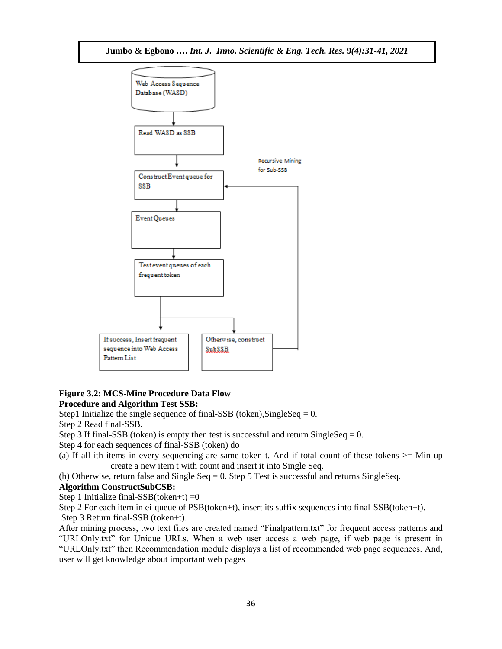

# **Figure 3.2: MCS-Mine Procedure Data Flow Procedure and Algorithm Test SSB:**

Step1 Initialize the single sequence of final-SSB (token), SingleSeq =  $0$ .

Step 2 Read final-SSB.

Step 3 If final-SSB (token) is empty then test is successful and return SingleSeq =  $0$ .

Step 4 for each sequences of final-SSB (token) do

(a) If all ith items in every sequencing are same token t. And if total count of these tokens >= Min up create a new item t with count and insert it into Single Seq.

(b) Otherwise, return false and Single Seq = 0. Step 5 Test is successful and returns SingleSeq.

# **Algorithm ConstructSubCSB:**

Step 1 Initialize final-SSB(token+t)  $=0$ 

Step 2 For each item in ei-queue of PSB(token+t), insert its suffix sequences into final-SSB(token+t).

Step 3 Return final-SSB (token+t).

After mining process, two text files are created named "Finalpattern.txt" for frequent access patterns and "URLOnly.txt" for Unique URLs. When a web user access a web page, if web page is present in "URLOnly.txt" then Recommendation module displays a list of recommended web page sequences. And, user will get knowledge about important web pages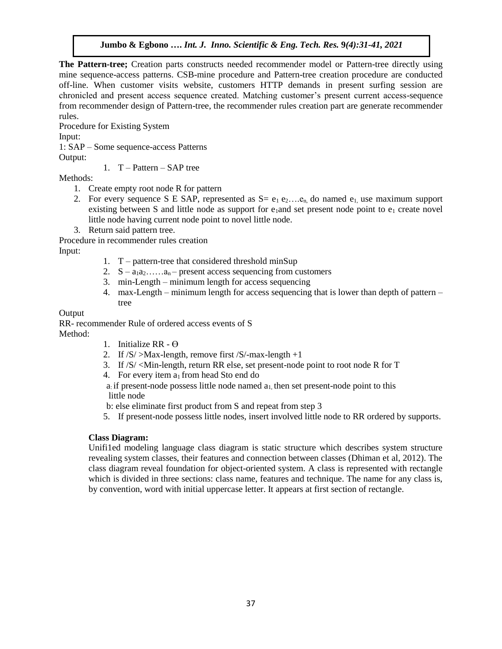**The Pattern-tree;** Creation parts constructs needed recommender model or Pattern-tree directly using mine sequence-access patterns. CSB-mine procedure and Pattern-tree creation procedure are conducted off-line. When customer visits website, customers HTTP demands in present surfing session are chronicled and present access sequence created. Matching customer's present current access-sequence from recommender design of Pattern-tree, the recommender rules creation part are generate recommender rules.

Procedure for Existing System Input: 1: SAP – Some sequence-access Patterns

Output:

1.  $T -$ Pattern – SAP tree

Methods:

- 1. Create empty root node R for pattern
- 2. For every sequence S E SAP, represented as  $S = e_1 e_2 \dots e_n$  do named  $e_1$  use maximum support existing between S and little node as support for  $e_1$  and set present node point to  $e_1$  create novel little node having current node point to novel little node.
- 3. Return said pattern tree.

Procedure in recommender rules creation

Input:

- 1. T pattern-tree that considered threshold minSup
- 2.  $S a_1 a_2 \ldots a_n$  present access sequencing from customers
- 3. min-Length minimum length for access sequencing
- 4. max-Length minimum length for access sequencing that is lower than depth of pattern tree

**Output** 

RR- recommender Rule of ordered access events of S Method:

- 1. Initialize  $RR \Theta$
- 2. If  $/S$  >Max-length, remove first  $/S$  -max-length +1
- 3. If /S/ <Min-length, return RR else, set present-node point to root node R for T
- 4. For every item  $a_1$  from head Sto end do

a: if present-node possess little node named  $a_1$ , then set present-node point to this little node

b: else eliminate first product from S and repeat from step 3

5. If present-node possess little nodes, insert involved little node to RR ordered by supports.

# **Class Diagram:**

Unifi1ed modeling language class diagram is static structure which describes system structure revealing system classes, their features and connection between classes (Dhiman et al, 2012). The class diagram reveal foundation for object-oriented system. A class is represented with rectangle which is divided in three sections: class name, features and technique. The name for any class is, by convention, word with initial uppercase letter. It appears at first section of rectangle.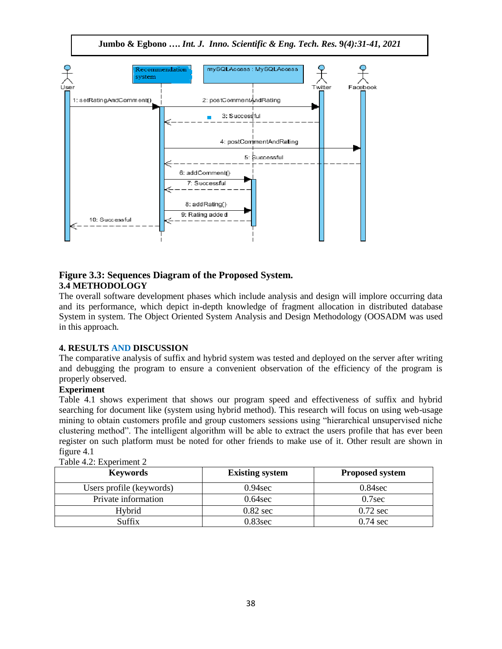**Jumbo & Egbono ….** *Int. J. Inno. Scientific & Eng. Tech. Res.* **9***(4):31-41, 2021*



# **Figure 3.3: Sequences Diagram of the Proposed System. 3.4 METHODOLOGY**

The overall software development phases which include analysis and design will implore occurring data and its performance, which depict in-depth knowledge of fragment allocation in distributed database System in system. The Object Oriented System Analysis and Design Methodology (OOSADM was used in this approach.

# **4. RESULTS AND DISCUSSION**

The comparative analysis of suffix and hybrid system was tested and deployed on the server after writing and debugging the program to ensure a convenient observation of the efficiency of the program is properly observed.

# **Experiment**

Table 4.1 shows experiment that shows our program speed and effectiveness of suffix and hybrid searching for document like (system using hybrid method). This research will focus on using web-usage mining to obtain customers profile and group customers sessions using "hierarchical unsupervised niche clustering method". The intelligent algorithm will be able to extract the users profile that has ever been register on such platform must be noted for other friends to make use of it. Other result are shown in figure 4.1

| <b>Keywords</b>          | <b>Existing system</b> | <b>Proposed system</b> |
|--------------------------|------------------------|------------------------|
| Users profile (keywords) | $0.94$ sec             | $0.84$ sec             |
| Private information      | $0.64$ sec             | $0.7$ sec              |
| Hybrid                   | $0.82 \text{ sec}$     | $0.72 \text{ sec}$     |
| Suffix                   | $0.83$ sec             | $0.74 \text{ sec}$     |

Table  $4.2$ : Experiment  $2.$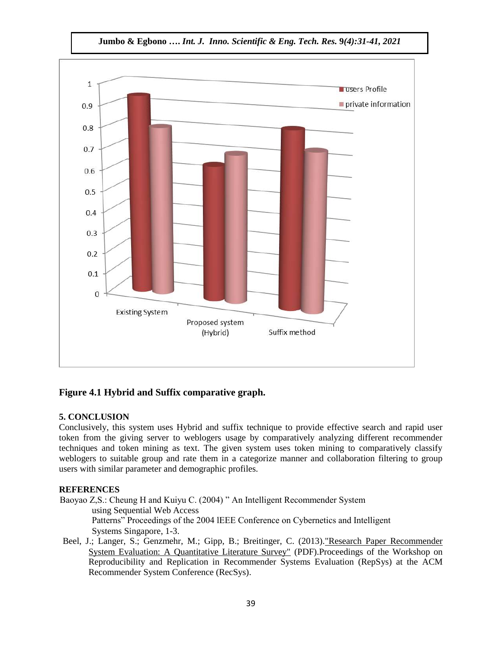

# **Figure 4.1 Hybrid and Suffix comparative graph.**

# **5. CONCLUSION**

Conclusively, this system uses Hybrid and suffix technique to provide effective search and rapid user token from the giving server to weblogers usage by comparatively analyzing different recommender techniques and token mining as text. The given system uses token mining to comparatively classify weblogers to suitable group and rate them in a categorize manner and collaboration filtering to group users with similar parameter and demographic profiles.

#### **REFERENCES**

 Baoyao Z,S.: Cheung H and Kuiyu C. (2004) " An Intelligent Recommender System using Sequential Web Access Patterns" Proceedings of the 2004 lEEE Conference on Cybernetics and Intelligent Systems Singapore, 1-3.

Beel, J.; Langer, S.; Genzmehr, M.; Gipp, B.; Breitinger, C. (2013)[."Research Paper Recommender](http://docear.org/papers/research_paper_recommender_system_evaluation--a_quantitative_literature_survey.pdf)  [System Evaluation: A Quantitative Literature Survey"](http://docear.org/papers/research_paper_recommender_system_evaluation--a_quantitative_literature_survey.pdf) (PDF).Proceedings of the Workshop on Reproducibility and Replication in Recommender Systems Evaluation (RepSys) at the ACM Recommender System Conference (RecSys).